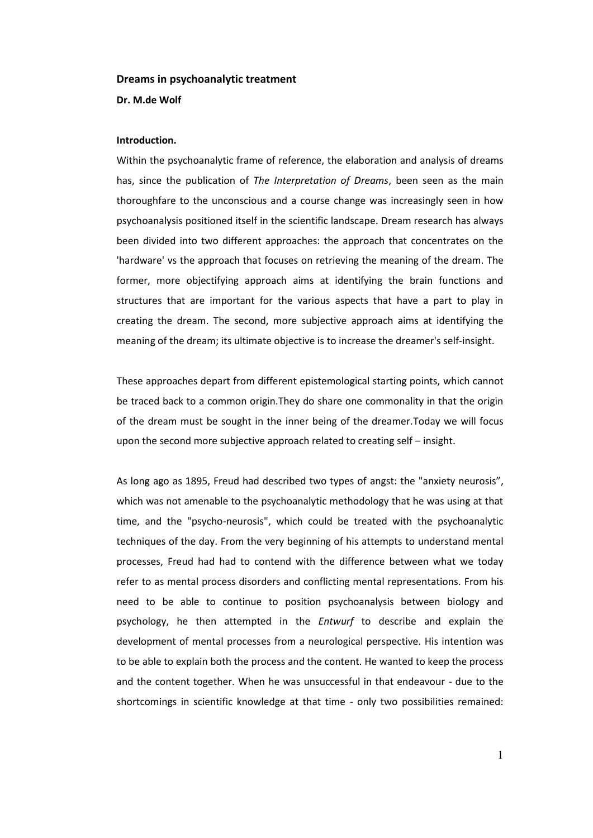#### **Dreams in psychoanalytic treatment**

**Dr. M.de Wolf**

#### **Introduction.**

Within the psychoanalytic frame of reference, the elaboration and analysis of dreams has, since the publication of *The Interpretation of Dreams*, been seen as the main thoroughfare to the unconscious and a course change was increasingly seen in how psychoanalysis positioned itself in the scientific landscape. Dream research has always been divided into two different approaches: the approach that concentrates on the 'hardware' vs the approach that focuses on retrieving the meaning of the dream. The former, more objectifying approach aims at identifying the brain functions and structures that are important for the various aspects that have a part to play in creating the dream. The second, more subjective approach aims at identifying the meaning of the dream; its ultimate objective is to increase the dreamer's self-insight.

These approaches depart from different epistemological starting points, which cannot be traced back to a common origin.They do share one commonality in that the origin of the dream must be sought in the inner being of the dreamer.Today we will focus upon the second more subjective approach related to creating self – insight.

As long ago as 1895, Freud had described two types of angst: the "anxiety neurosis", which was not amenable to the psychoanalytic methodology that he was using at that time, and the "psycho-neurosis", which could be treated with the psychoanalytic techniques of the day. From the very beginning of his attempts to understand mental processes, Freud had had to contend with the difference between what we today refer to as mental process disorders and conflicting mental representations. From his need to be able to continue to position psychoanalysis between biology and psychology, he then attempted in the *Entwurf* to describe and explain the development of mental processes from a neurological perspective. His intention was to be able to explain both the process and the content. He wanted to keep the process and the content together. When he was unsuccessful in that endeavour - due to the shortcomings in scientific knowledge at that time - only two possibilities remained: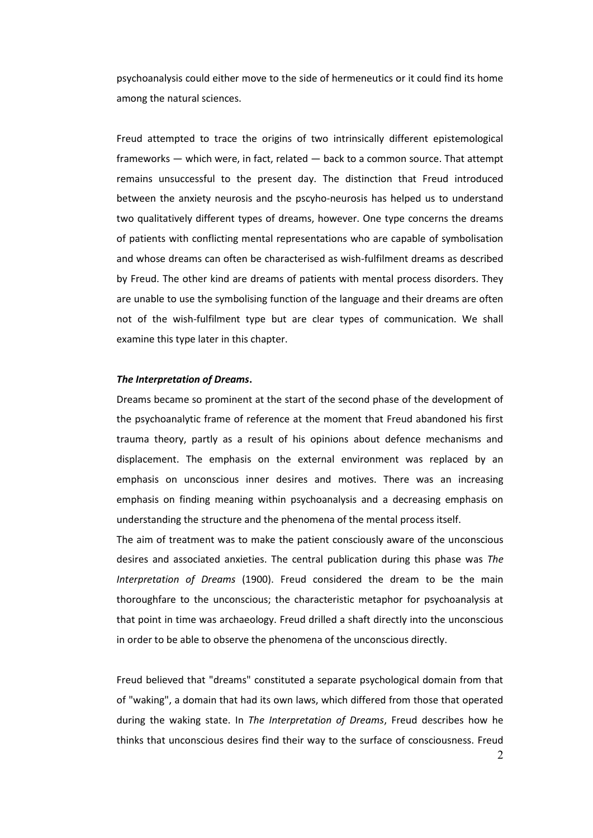psychoanalysis could either move to the side of hermeneutics or it could find its home among the natural sciences.

Freud attempted to trace the origins of two intrinsically different epistemological frameworks — which were, in fact, related — back to a common source. That attempt remains unsuccessful to the present day. The distinction that Freud introduced between the anxiety neurosis and the pscyho-neurosis has helped us to understand two qualitatively different types of dreams, however. One type concerns the dreams of patients with conflicting mental representations who are capable of symbolisation and whose dreams can often be characterised as wish-fulfilment dreams as described by Freud. The other kind are dreams of patients with mental process disorders. They are unable to use the symbolising function of the language and their dreams are often not of the wish-fulfilment type but are clear types of communication. We shall examine this type later in this chapter.

#### *The Interpretation of Dreams***.**

Dreams became so prominent at the start of the second phase of the development of the psychoanalytic frame of reference at the moment that Freud abandoned his first trauma theory, partly as a result of his opinions about defence mechanisms and displacement. The emphasis on the external environment was replaced by an emphasis on unconscious inner desires and motives. There was an increasing emphasis on finding meaning within psychoanalysis and a decreasing emphasis on understanding the structure and the phenomena of the mental process itself.

The aim of treatment was to make the patient consciously aware of the unconscious desires and associated anxieties. The central publication during this phase was *The Interpretation of Dreams* (1900). Freud considered the dream to be the main thoroughfare to the unconscious; the characteristic metaphor for psychoanalysis at that point in time was archaeology. Freud drilled a shaft directly into the unconscious in order to be able to observe the phenomena of the unconscious directly.

Freud believed that "dreams" constituted a separate psychological domain from that of "waking", a domain that had its own laws, which differed from those that operated during the waking state. In *The Interpretation of Dreams*, Freud describes how he thinks that unconscious desires find their way to the surface of consciousness. Freud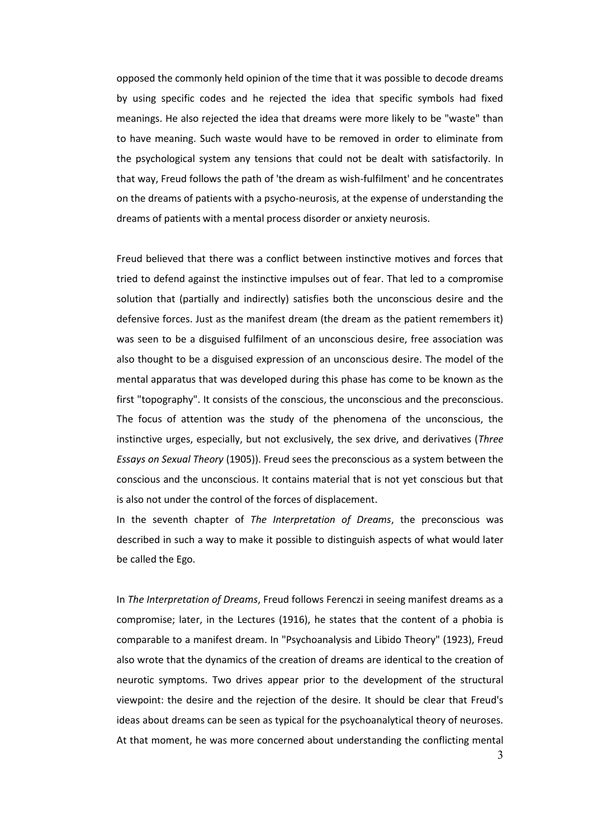opposed the commonly held opinion of the time that it was possible to decode dreams by using specific codes and he rejected the idea that specific symbols had fixed meanings. He also rejected the idea that dreams were more likely to be "waste" than to have meaning. Such waste would have to be removed in order to eliminate from the psychological system any tensions that could not be dealt with satisfactorily. In that way, Freud follows the path of 'the dream as wish-fulfilment' and he concentrates on the dreams of patients with a psycho-neurosis, at the expense of understanding the dreams of patients with a mental process disorder or anxiety neurosis.

Freud believed that there was a conflict between instinctive motives and forces that tried to defend against the instinctive impulses out of fear. That led to a compromise solution that (partially and indirectly) satisfies both the unconscious desire and the defensive forces. Just as the manifest dream (the dream as the patient remembers it) was seen to be a disguised fulfilment of an unconscious desire, free association was also thought to be a disguised expression of an unconscious desire. The model of the mental apparatus that was developed during this phase has come to be known as the first "topography". It consists of the conscious, the unconscious and the preconscious. The focus of attention was the study of the phenomena of the unconscious, the instinctive urges, especially, but not exclusively, the sex drive, and derivatives (*Three Essays on Sexual Theory* (1905)). Freud sees the preconscious as a system between the conscious and the unconscious. It contains material that is not yet conscious but that is also not under the control of the forces of displacement.

In the seventh chapter of *The Interpretation of Dreams*, the preconscious was described in such a way to make it possible to distinguish aspects of what would later be called the Ego.

In *The Interpretation of Dreams*, Freud follows Ferenczi in seeing manifest dreams as a compromise; later, in the Lectures (1916), he states that the content of a phobia is comparable to a manifest dream. In "Psychoanalysis and Libido Theory" (1923), Freud also wrote that the dynamics of the creation of dreams are identical to the creation of neurotic symptoms. Two drives appear prior to the development of the structural viewpoint: the desire and the rejection of the desire. It should be clear that Freud's ideas about dreams can be seen as typical for the psychoanalytical theory of neuroses. At that moment, he was more concerned about understanding the conflicting mental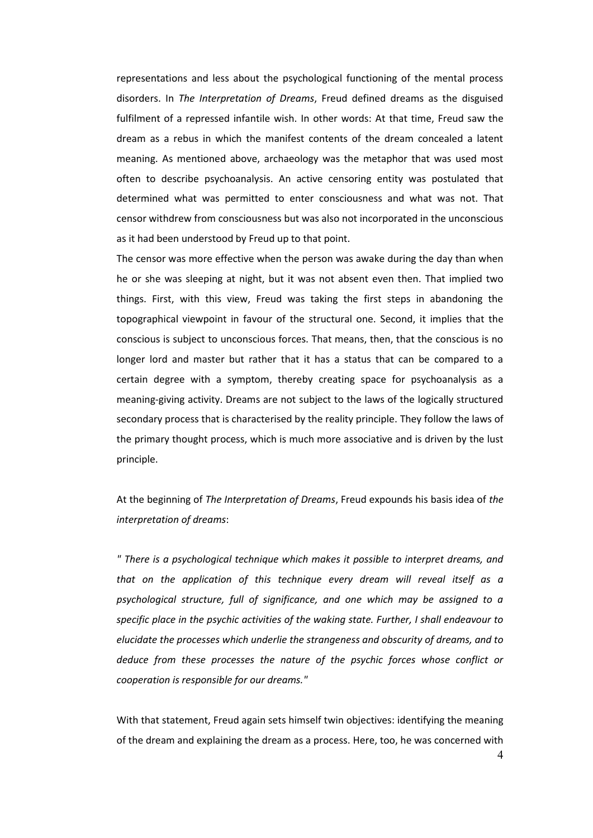representations and less about the psychological functioning of the mental process disorders. In *The Interpretation of Dreams*, Freud defined dreams as the disguised fulfilment of a repressed infantile wish. In other words: At that time, Freud saw the dream as a rebus in which the manifest contents of the dream concealed a latent meaning. As mentioned above, archaeology was the metaphor that was used most often to describe psychoanalysis. An active censoring entity was postulated that determined what was permitted to enter consciousness and what was not. That censor withdrew from consciousness but was also not incorporated in the unconscious as it had been understood by Freud up to that point.

The censor was more effective when the person was awake during the day than when he or she was sleeping at night, but it was not absent even then. That implied two things. First, with this view, Freud was taking the first steps in abandoning the topographical viewpoint in favour of the structural one. Second, it implies that the conscious is subject to unconscious forces. That means, then, that the conscious is no longer lord and master but rather that it has a status that can be compared to a certain degree with a symptom, thereby creating space for psychoanalysis as a meaning-giving activity. Dreams are not subject to the laws of the logically structured secondary process that is characterised by the reality principle. They follow the laws of the primary thought process, which is much more associative and is driven by the lust principle.

At the beginning of *The Interpretation of Dreams*, Freud expounds his basis idea of *the interpretation of dreams*:

*" There is a psychological technique which makes it possible to interpret dreams, and that on the application of this technique every dream will reveal itself as a psychological structure, full of significance, and one which may be assigned to a specific place in the psychic activities of the waking state. Further, I shall endeavour to elucidate the processes which underlie the strangeness and obscurity of dreams, and to deduce from these processes the nature of the psychic forces whose conflict or cooperation is responsible for our dreams."* 

With that statement, Freud again sets himself twin objectives: identifying the meaning of the dream and explaining the dream as a process. Here, too, he was concerned with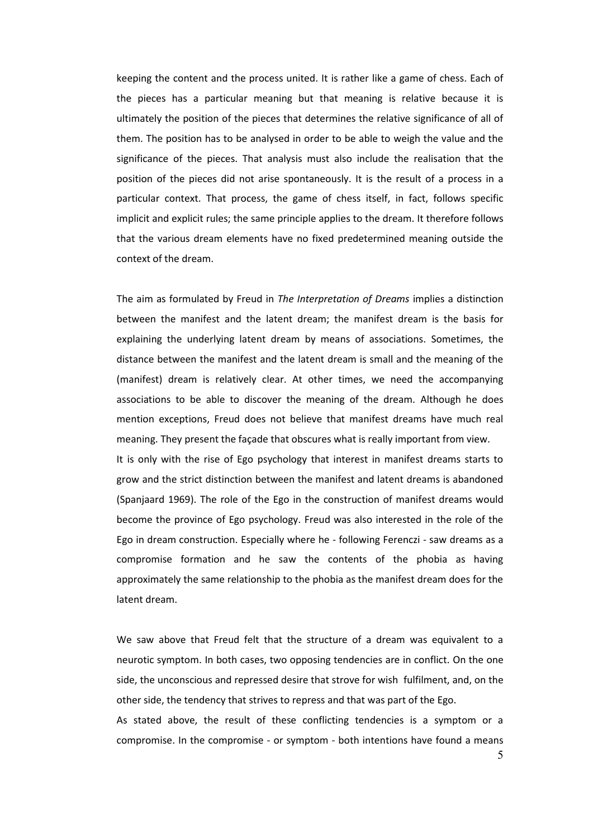keeping the content and the process united. It is rather like a game of chess. Each of the pieces has a particular meaning but that meaning is relative because it is ultimately the position of the pieces that determines the relative significance of all of them. The position has to be analysed in order to be able to weigh the value and the significance of the pieces. That analysis must also include the realisation that the position of the pieces did not arise spontaneously. It is the result of a process in a particular context. That process, the game of chess itself, in fact, follows specific implicit and explicit rules; the same principle applies to the dream. It therefore follows that the various dream elements have no fixed predetermined meaning outside the context of the dream.

The aim as formulated by Freud in *The Interpretation of Dreams* implies a distinction between the manifest and the latent dream; the manifest dream is the basis for explaining the underlying latent dream by means of associations. Sometimes, the distance between the manifest and the latent dream is small and the meaning of the (manifest) dream is relatively clear. At other times, we need the accompanying associations to be able to discover the meaning of the dream. Although he does mention exceptions, Freud does not believe that manifest dreams have much real meaning. They present the façade that obscures what is really important from view. It is only with the rise of Ego psychology that interest in manifest dreams starts to grow and the strict distinction between the manifest and latent dreams is abandoned (Spanjaard 1969). The role of the Ego in the construction of manifest dreams would become the province of Ego psychology. Freud was also interested in the role of the Ego in dream construction. Especially where he - following Ferenczi - saw dreams as a compromise formation and he saw the contents of the phobia as having approximately the same relationship to the phobia as the manifest dream does for the latent dream.

We saw above that Freud felt that the structure of a dream was equivalent to a neurotic symptom. In both cases, two opposing tendencies are in conflict. On the one side, the unconscious and repressed desire that strove for wish fulfilment, and, on the other side, the tendency that strives to repress and that was part of the Ego. As stated above, the result of these conflicting tendencies is a symptom or a

compromise. In the compromise - or symptom - both intentions have found a means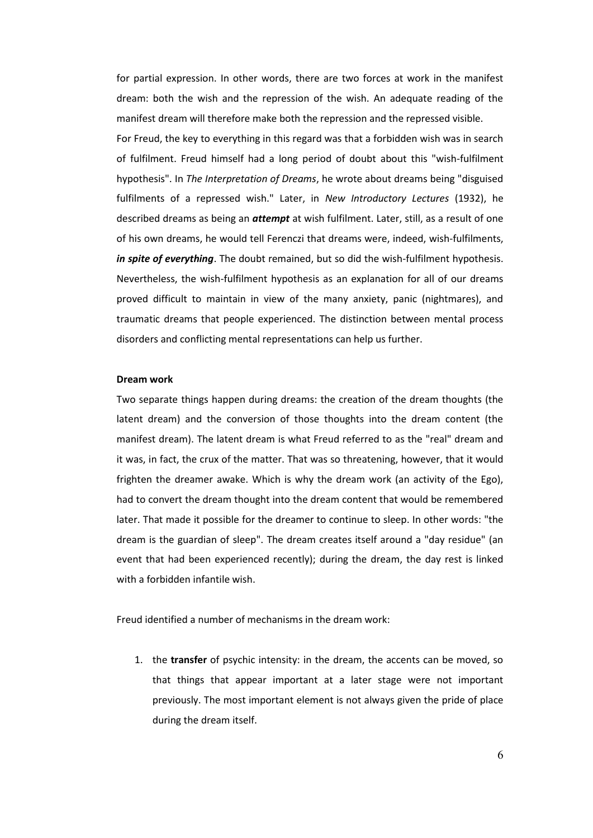for partial expression. In other words, there are two forces at work in the manifest dream: both the wish and the repression of the wish. An adequate reading of the manifest dream will therefore make both the repression and the repressed visible.

For Freud, the key to everything in this regard was that a forbidden wish was in search of fulfilment. Freud himself had a long period of doubt about this "wish-fulfilment hypothesis". In *The Interpretation of Dreams*, he wrote about dreams being "disguised fulfilments of a repressed wish." Later, in *New Introductory Lectures* (1932), he described dreams as being an *attempt* at wish fulfilment. Later, still, as a result of one of his own dreams, he would tell Ferenczi that dreams were, indeed, wish-fulfilments, *in spite of everything*. The doubt remained, but so did the wish-fulfilment hypothesis. Nevertheless, the wish-fulfilment hypothesis as an explanation for all of our dreams proved difficult to maintain in view of the many anxiety, panic (nightmares), and traumatic dreams that people experienced. The distinction between mental process disorders and conflicting mental representations can help us further.

#### **Dream work**

Two separate things happen during dreams: the creation of the dream thoughts (the latent dream) and the conversion of those thoughts into the dream content (the manifest dream). The latent dream is what Freud referred to as the "real" dream and it was, in fact, the crux of the matter. That was so threatening, however, that it would frighten the dreamer awake. Which is why the dream work (an activity of the Ego), had to convert the dream thought into the dream content that would be remembered later. That made it possible for the dreamer to continue to sleep. In other words: "the dream is the guardian of sleep". The dream creates itself around a "day residue" (an event that had been experienced recently); during the dream, the day rest is linked with a forbidden infantile wish.

Freud identified a number of mechanisms in the dream work:

1. the **transfer** of psychic intensity: in the dream, the accents can be moved, so that things that appear important at a later stage were not important previously. The most important element is not always given the pride of place during the dream itself.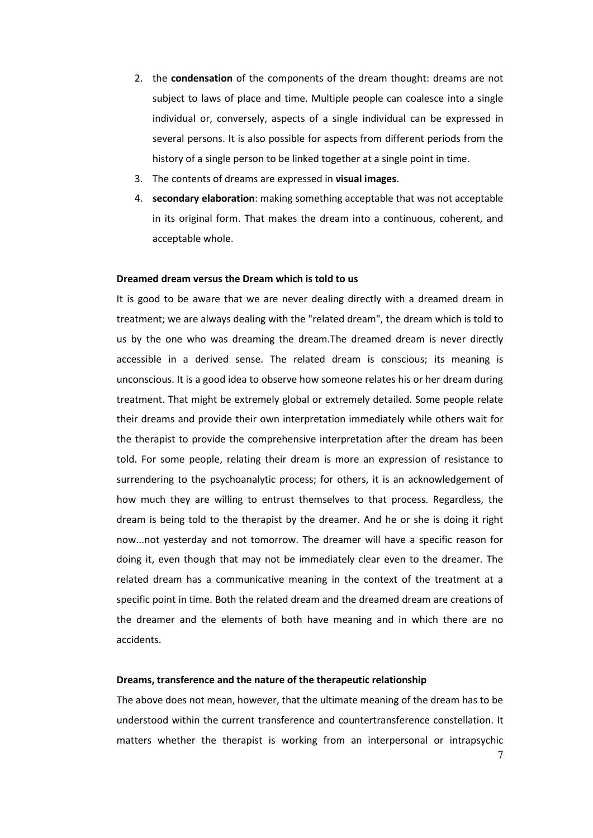- 2. the **condensation** of the components of the dream thought: dreams are not subject to laws of place and time. Multiple people can coalesce into a single individual or, conversely, aspects of a single individual can be expressed in several persons. It is also possible for aspects from different periods from the history of a single person to be linked together at a single point in time.
- 3. The contents of dreams are expressed in **visual images**.
- 4. **secondary elaboration**: making something acceptable that was not acceptable in its original form. That makes the dream into a continuous, coherent, and acceptable whole.

# **Dreamed dream versus the Dream which is told to us**

It is good to be aware that we are never dealing directly with a dreamed dream in treatment; we are always dealing with the "related dream", the dream which is told to us by the one who was dreaming the dream.The dreamed dream is never directly accessible in a derived sense. The related dream is conscious; its meaning is unconscious. It is a good idea to observe how someone relates his or her dream during treatment. That might be extremely global or extremely detailed. Some people relate their dreams and provide their own interpretation immediately while others wait for the therapist to provide the comprehensive interpretation after the dream has been told. For some people, relating their dream is more an expression of resistance to surrendering to the psychoanalytic process; for others, it is an acknowledgement of how much they are willing to entrust themselves to that process. Regardless, the dream is being told to the therapist by the dreamer. And he or she is doing it right now...not yesterday and not tomorrow. The dreamer will have a specific reason for doing it, even though that may not be immediately clear even to the dreamer. The related dream has a communicative meaning in the context of the treatment at a specific point in time. Both the related dream and the dreamed dream are creations of the dreamer and the elements of both have meaning and in which there are no accidents.

### **Dreams, transference and the nature of the therapeutic relationship**

The above does not mean, however, that the ultimate meaning of the dream has to be understood within the current transference and countertransference constellation. It matters whether the therapist is working from an interpersonal or intrapsychic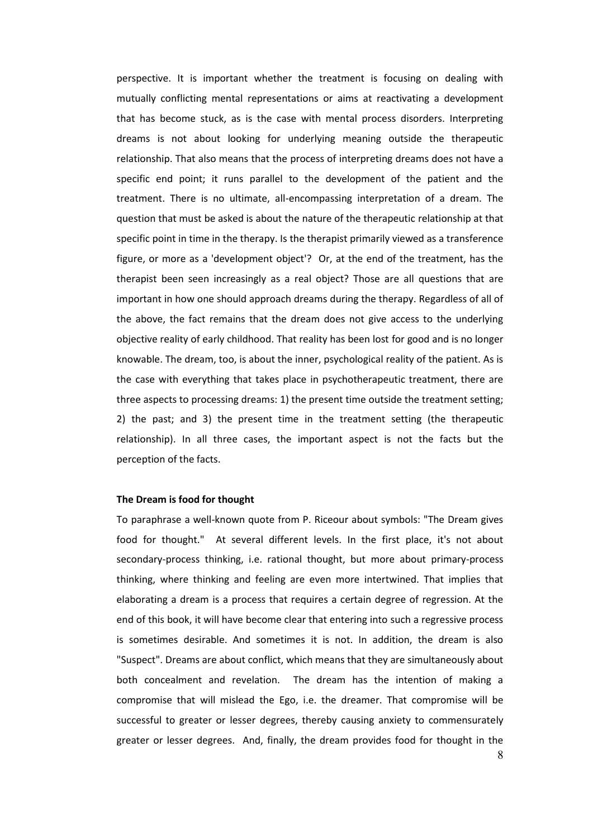perspective. It is important whether the treatment is focusing on dealing with mutually conflicting mental representations or aims at reactivating a development that has become stuck, as is the case with mental process disorders. Interpreting dreams is not about looking for underlying meaning outside the therapeutic relationship. That also means that the process of interpreting dreams does not have a specific end point; it runs parallel to the development of the patient and the treatment. There is no ultimate, all-encompassing interpretation of a dream. The question that must be asked is about the nature of the therapeutic relationship at that specific point in time in the therapy. Is the therapist primarily viewed as a transference figure, or more as a 'development object'? Or, at the end of the treatment, has the therapist been seen increasingly as a real object? Those are all questions that are important in how one should approach dreams during the therapy. Regardless of all of the above, the fact remains that the dream does not give access to the underlying objective reality of early childhood. That reality has been lost for good and is no longer knowable. The dream, too, is about the inner, psychological reality of the patient. As is the case with everything that takes place in psychotherapeutic treatment, there are three aspects to processing dreams: 1) the present time outside the treatment setting; 2) the past; and 3) the present time in the treatment setting (the therapeutic relationship). In all three cases, the important aspect is not the facts but the perception of the facts.

## **The Dream is food for thought**

To paraphrase a well-known quote from P. Riceour about symbols: "The Dream gives food for thought." At several different levels. In the first place, it's not about secondary-process thinking, i.e. rational thought, but more about primary-process thinking, where thinking and feeling are even more intertwined. That implies that elaborating a dream is a process that requires a certain degree of regression. At the end of this book, it will have become clear that entering into such a regressive process is sometimes desirable. And sometimes it is not. In addition, the dream is also "Suspect". Dreams are about conflict, which means that they are simultaneously about both concealment and revelation. The dream has the intention of making a compromise that will mislead the Ego, i.e. the dreamer. That compromise will be successful to greater or lesser degrees, thereby causing anxiety to commensurately greater or lesser degrees. And, finally, the dream provides food for thought in the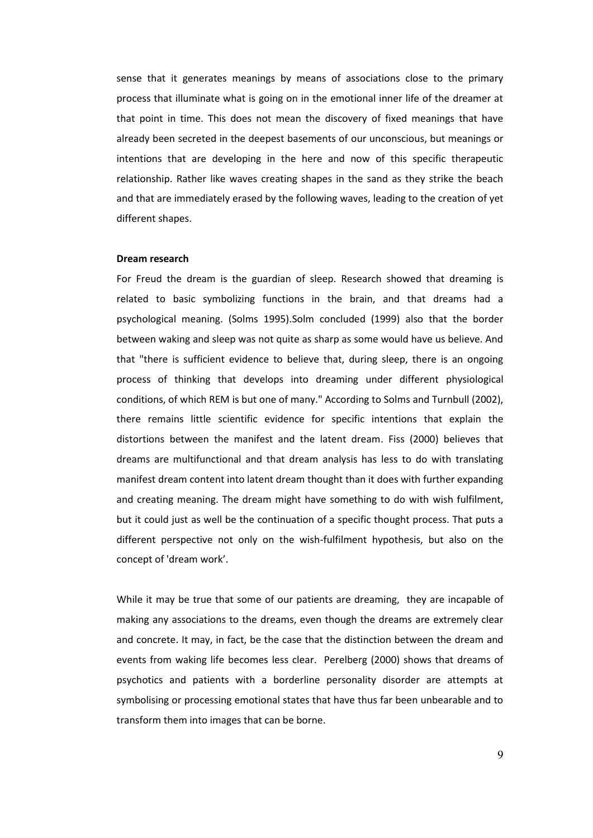sense that it generates meanings by means of associations close to the primary process that illuminate what is going on in the emotional inner life of the dreamer at that point in time. This does not mean the discovery of fixed meanings that have already been secreted in the deepest basements of our unconscious, but meanings or intentions that are developing in the here and now of this specific therapeutic relationship. Rather like waves creating shapes in the sand as they strike the beach and that are immediately erased by the following waves, leading to the creation of yet different shapes.

#### **Dream research**

For Freud the dream is the guardian of sleep. Research showed that dreaming is related to basic symbolizing functions in the brain, and that dreams had a psychological meaning. (Solms 1995).Solm concluded (1999) also that the border between waking and sleep was not quite as sharp as some would have us believe. And that "there is sufficient evidence to believe that, during sleep, there is an ongoing process of thinking that develops into dreaming under different physiological conditions, of which REM is but one of many." According to Solms and Turnbull (2002), there remains little scientific evidence for specific intentions that explain the distortions between the manifest and the latent dream. Fiss (2000) believes that dreams are multifunctional and that dream analysis has less to do with translating manifest dream content into latent dream thought than it does with further expanding and creating meaning. The dream might have something to do with wish fulfilment, but it could just as well be the continuation of a specific thought process. That puts a different perspective not only on the wish-fulfilment hypothesis, but also on the concept of 'dream work'.

While it may be true that some of our patients are dreaming, they are incapable of making any associations to the dreams, even though the dreams are extremely clear and concrete. It may, in fact, be the case that the distinction between the dream and events from waking life becomes less clear. Perelberg (2000) shows that dreams of psychotics and patients with a borderline personality disorder are attempts at symbolising or processing emotional states that have thus far been unbearable and to transform them into images that can be borne.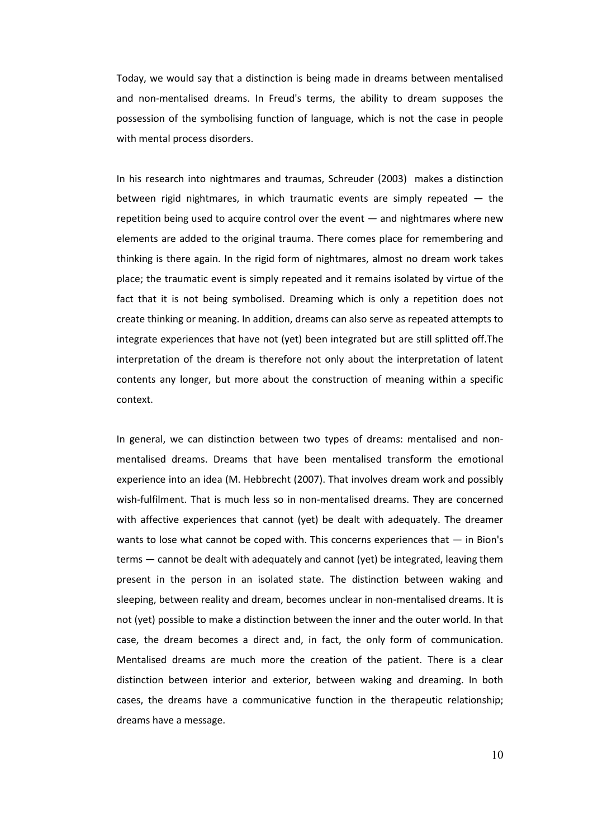Today, we would say that a distinction is being made in dreams between mentalised and non-mentalised dreams. In Freud's terms, the ability to dream supposes the possession of the symbolising function of language, which is not the case in people with mental process disorders.

In his research into nightmares and traumas, Schreuder (2003) makes a distinction between rigid nightmares, in which traumatic events are simply repeated — the repetition being used to acquire control over the event — and nightmares where new elements are added to the original trauma. There comes place for remembering and thinking is there again. In the rigid form of nightmares, almost no dream work takes place; the traumatic event is simply repeated and it remains isolated by virtue of the fact that it is not being symbolised. Dreaming which is only a repetition does not create thinking or meaning. In addition, dreams can also serve as repeated attempts to integrate experiences that have not (yet) been integrated but are still splitted off.The interpretation of the dream is therefore not only about the interpretation of latent contents any longer, but more about the construction of meaning within a specific context.

In general, we can distinction between two types of dreams: mentalised and nonmentalised dreams. Dreams that have been mentalised transform the emotional experience into an idea (M. Hebbrecht (2007). That involves dream work and possibly wish-fulfilment. That is much less so in non-mentalised dreams. They are concerned with affective experiences that cannot (yet) be dealt with adequately. The dreamer wants to lose what cannot be coped with. This concerns experiences that — in Bion's terms — cannot be dealt with adequately and cannot (yet) be integrated, leaving them present in the person in an isolated state. The distinction between waking and sleeping, between reality and dream, becomes unclear in non-mentalised dreams. It is not (yet) possible to make a distinction between the inner and the outer world. In that case, the dream becomes a direct and, in fact, the only form of communication. Mentalised dreams are much more the creation of the patient. There is a clear distinction between interior and exterior, between waking and dreaming. In both cases, the dreams have a communicative function in the therapeutic relationship; dreams have a message.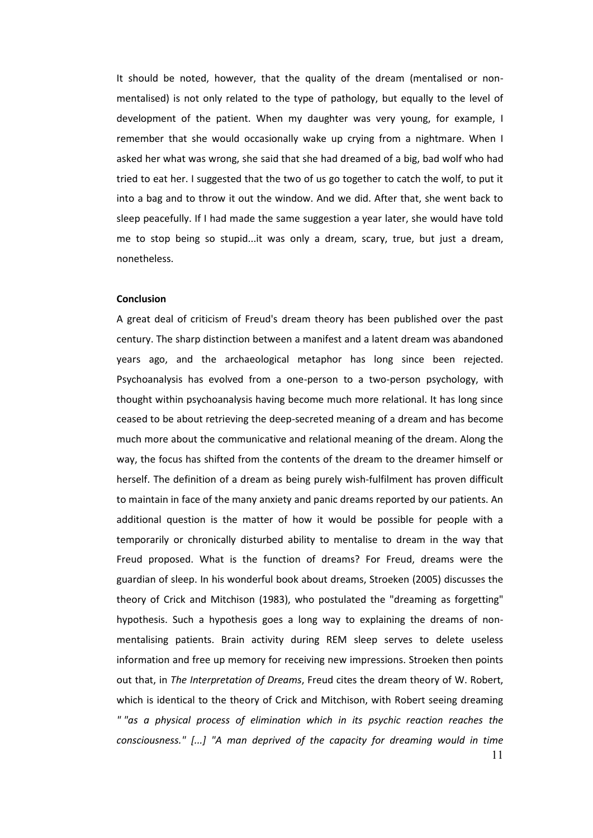It should be noted, however, that the quality of the dream (mentalised or nonmentalised) is not only related to the type of pathology, but equally to the level of development of the patient. When my daughter was very young, for example, I remember that she would occasionally wake up crying from a nightmare. When I asked her what was wrong, she said that she had dreamed of a big, bad wolf who had tried to eat her. I suggested that the two of us go together to catch the wolf, to put it into a bag and to throw it out the window. And we did. After that, she went back to sleep peacefully. If I had made the same suggestion a year later, she would have told me to stop being so stupid...it was only a dream, scary, true, but just a dream, nonetheless.

### **Conclusion**

11 A great deal of criticism of Freud's dream theory has been published over the past century. The sharp distinction between a manifest and a latent dream was abandoned years ago, and the archaeological metaphor has long since been rejected. Psychoanalysis has evolved from a one-person to a two-person psychology, with thought within psychoanalysis having become much more relational. It has long since ceased to be about retrieving the deep-secreted meaning of a dream and has become much more about the communicative and relational meaning of the dream. Along the way, the focus has shifted from the contents of the dream to the dreamer himself or herself. The definition of a dream as being purely wish-fulfilment has proven difficult to maintain in face of the many anxiety and panic dreams reported by our patients. An additional question is the matter of how it would be possible for people with a temporarily or chronically disturbed ability to mentalise to dream in the way that Freud proposed. What is the function of dreams? For Freud, dreams were the guardian of sleep. In his wonderful book about dreams, Stroeken (2005) discusses the theory of Crick and Mitchison (1983), who postulated the "dreaming as forgetting" hypothesis. Such a hypothesis goes a long way to explaining the dreams of nonmentalising patients. Brain activity during REM sleep serves to delete useless information and free up memory for receiving new impressions. Stroeken then points out that, in *The Interpretation of Dreams*, Freud cites the dream theory of W. Robert, which is identical to the theory of Crick and Mitchison, with Robert seeing dreaming *" "as a physical process of elimination which in its psychic reaction reaches the consciousness." [...] "A man deprived of the capacity for dreaming would in time*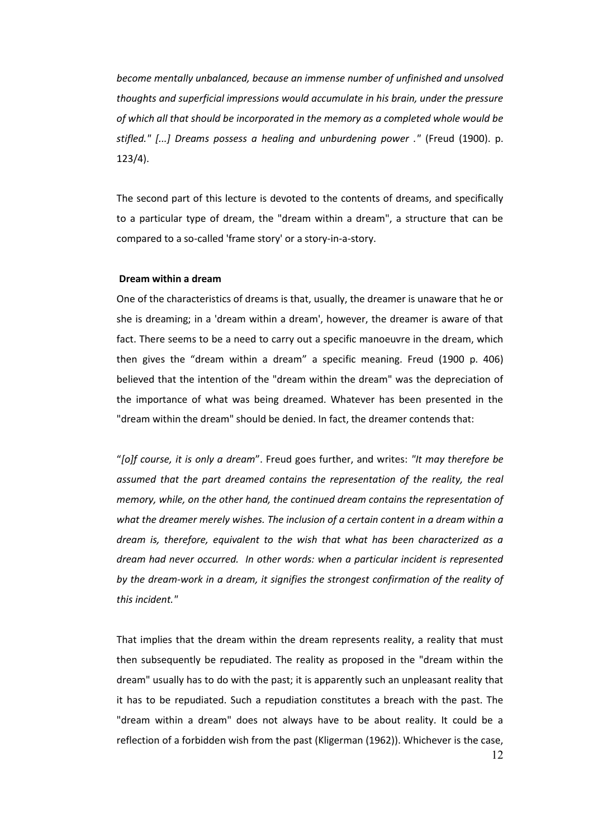*become mentally unbalanced, because an immense number of unfinished and unsolved thoughts and superficial impressions would accumulate in his brain, under the pressure of which all that should be incorporated in the memory as a completed whole would be stifled." [...] Dreams possess a healing and unburdening power ."* (Freud (1900). p. 123/4).

The second part of this lecture is devoted to the contents of dreams, and specifically to a particular type of dream, the "dream within a dream", a structure that can be compared to a so-called 'frame story' or a story-in-a-story.

# **Dream within a dream**

One of the characteristics of dreams is that, usually, the dreamer is unaware that he or she is dreaming; in a 'dream within a dream', however, the dreamer is aware of that fact. There seems to be a need to carry out a specific manoeuvre in the dream, which then gives the "dream within a dream" a specific meaning. Freud (1900 p. 406) believed that the intention of the "dream within the dream" was the depreciation of the importance of what was being dreamed. Whatever has been presented in the "dream within the dream" should be denied. In fact, the dreamer contends that:

"*[o]f course, it is only a dream*". Freud goes further, and writes: *"It may therefore be*  assumed that the part dreamed contains the representation of the reality, the real *memory, while, on the other hand, the continued dream contains the representation of what the dreamer merely wishes. The inclusion of a certain content in a dream within a dream is, therefore, equivalent to the wish that what has been characterized as a dream had never occurred. In other words: when a particular incident is represented by the dream-work in a dream, it signifies the strongest confirmation of the reality of this incident."*

That implies that the dream within the dream represents reality, a reality that must then subsequently be repudiated. The reality as proposed in the "dream within the dream" usually has to do with the past; it is apparently such an unpleasant reality that it has to be repudiated. Such a repudiation constitutes a breach with the past. The "dream within a dream" does not always have to be about reality. It could be a reflection of a forbidden wish from the past (Kligerman (1962)). Whichever is the case,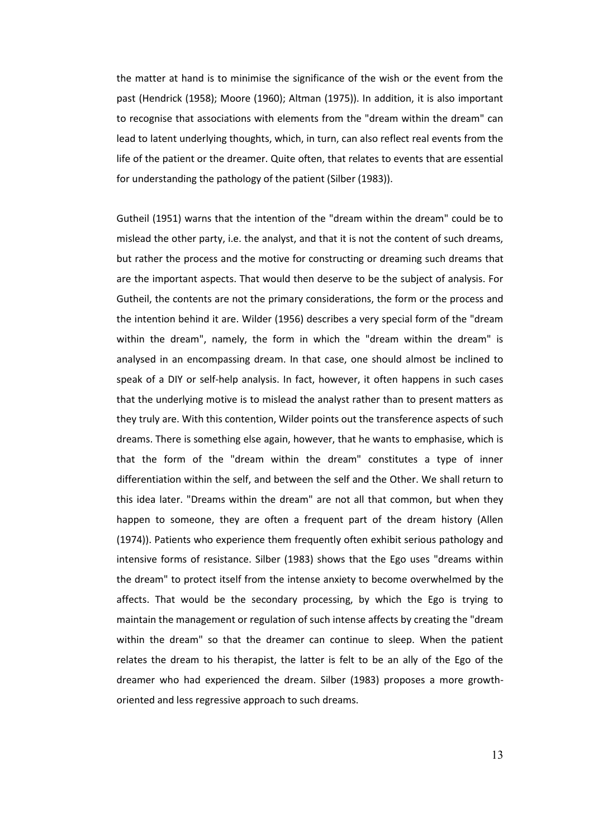the matter at hand is to minimise the significance of the wish or the event from the past (Hendrick (1958); Moore (1960); Altman (1975)). In addition, it is also important to recognise that associations with elements from the "dream within the dream" can lead to latent underlying thoughts, which, in turn, can also reflect real events from the life of the patient or the dreamer. Quite often, that relates to events that are essential for understanding the pathology of the patient (Silber (1983)).

Gutheil (1951) warns that the intention of the "dream within the dream" could be to mislead the other party, i.e. the analyst, and that it is not the content of such dreams, but rather the process and the motive for constructing or dreaming such dreams that are the important aspects. That would then deserve to be the subject of analysis. For Gutheil, the contents are not the primary considerations, the form or the process and the intention behind it are. Wilder (1956) describes a very special form of the "dream within the dream", namely, the form in which the "dream within the dream" is analysed in an encompassing dream. In that case, one should almost be inclined to speak of a DIY or self-help analysis. In fact, however, it often happens in such cases that the underlying motive is to mislead the analyst rather than to present matters as they truly are. With this contention, Wilder points out the transference aspects of such dreams. There is something else again, however, that he wants to emphasise, which is that the form of the "dream within the dream" constitutes a type of inner differentiation within the self, and between the self and the Other. We shall return to this idea later. "Dreams within the dream" are not all that common, but when they happen to someone, they are often a frequent part of the dream history (Allen (1974)). Patients who experience them frequently often exhibit serious pathology and intensive forms of resistance. Silber (1983) shows that the Ego uses "dreams within the dream" to protect itself from the intense anxiety to become overwhelmed by the affects. That would be the secondary processing, by which the Ego is trying to maintain the management or regulation of such intense affects by creating the "dream within the dream" so that the dreamer can continue to sleep. When the patient relates the dream to his therapist, the latter is felt to be an ally of the Ego of the dreamer who had experienced the dream. Silber (1983) proposes a more growthoriented and less regressive approach to such dreams.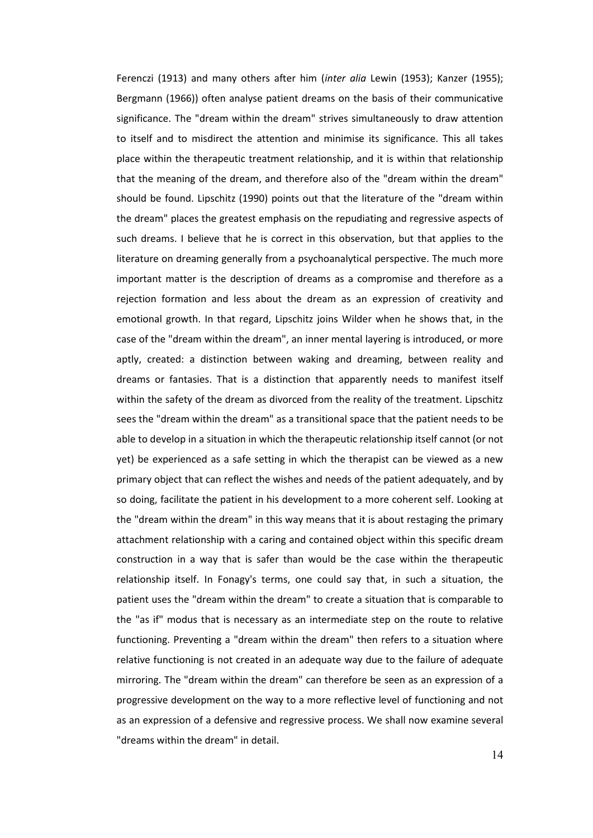Ferenczi (1913) and many others after him (*inter alia* Lewin (1953); Kanzer (1955); Bergmann (1966)) often analyse patient dreams on the basis of their communicative significance. The "dream within the dream" strives simultaneously to draw attention to itself and to misdirect the attention and minimise its significance. This all takes place within the therapeutic treatment relationship, and it is within that relationship that the meaning of the dream, and therefore also of the "dream within the dream" should be found. Lipschitz (1990) points out that the literature of the "dream within the dream" places the greatest emphasis on the repudiating and regressive aspects of such dreams. I believe that he is correct in this observation, but that applies to the literature on dreaming generally from a psychoanalytical perspective. The much more important matter is the description of dreams as a compromise and therefore as a rejection formation and less about the dream as an expression of creativity and emotional growth. In that regard, Lipschitz joins Wilder when he shows that, in the case of the "dream within the dream", an inner mental layering is introduced, or more aptly, created: a distinction between waking and dreaming, between reality and dreams or fantasies. That is a distinction that apparently needs to manifest itself within the safety of the dream as divorced from the reality of the treatment. Lipschitz sees the "dream within the dream" as a transitional space that the patient needs to be able to develop in a situation in which the therapeutic relationship itself cannot (or not yet) be experienced as a safe setting in which the therapist can be viewed as a new primary object that can reflect the wishes and needs of the patient adequately, and by so doing, facilitate the patient in his development to a more coherent self. Looking at the "dream within the dream" in this way means that it is about restaging the primary attachment relationship with a caring and contained object within this specific dream construction in a way that is safer than would be the case within the therapeutic relationship itself. In Fonagy's terms, one could say that, in such a situation, the patient uses the "dream within the dream" to create a situation that is comparable to the "as if" modus that is necessary as an intermediate step on the route to relative functioning. Preventing a "dream within the dream" then refers to a situation where relative functioning is not created in an adequate way due to the failure of adequate mirroring. The "dream within the dream" can therefore be seen as an expression of a progressive development on the way to a more reflective level of functioning and not as an expression of a defensive and regressive process. We shall now examine several "dreams within the dream" in detail.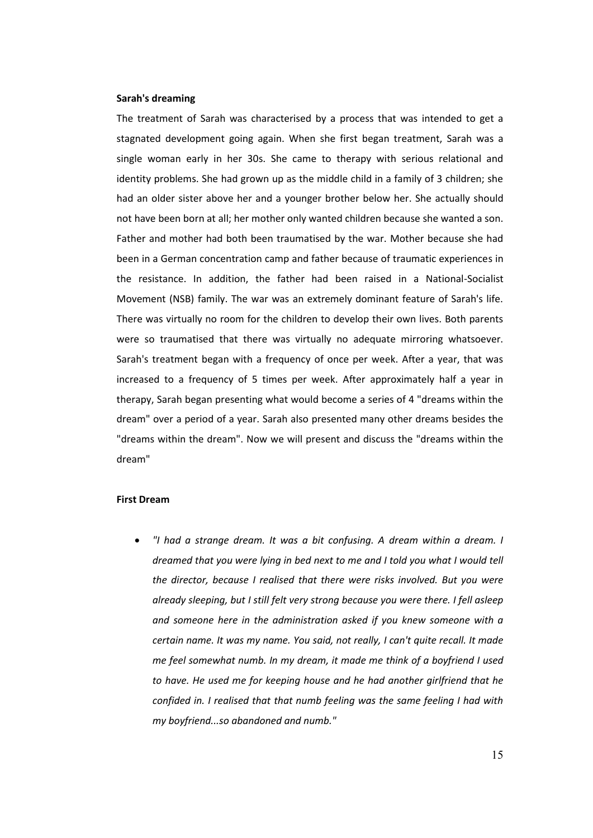## **Sarah's dreaming**

The treatment of Sarah was characterised by a process that was intended to get a stagnated development going again. When she first began treatment, Sarah was a single woman early in her 30s. She came to therapy with serious relational and identity problems. She had grown up as the middle child in a family of 3 children; she had an older sister above her and a younger brother below her. She actually should not have been born at all; her mother only wanted children because she wanted a son. Father and mother had both been traumatised by the war. Mother because she had been in a German concentration camp and father because of traumatic experiences in the resistance. In addition, the father had been raised in a National-Socialist Movement (NSB) family. The war was an extremely dominant feature of Sarah's life. There was virtually no room for the children to develop their own lives. Both parents were so traumatised that there was virtually no adequate mirroring whatsoever. Sarah's treatment began with a frequency of once per week. After a year, that was increased to a frequency of 5 times per week. After approximately half a year in therapy, Sarah began presenting what would become a series of 4 "dreams within the dream" over a period of a year. Sarah also presented many other dreams besides the "dreams within the dream". Now we will present and discuss the "dreams within the dream"

#### **First Dream**

 *"I had a strange dream. It was a bit confusing. A dream within a dream. I dreamed that you were lying in bed next to me and I told you what I would tell the director, because I realised that there were risks involved. But you were already sleeping, but I still felt very strong because you were there. I fell asleep and someone here in the administration asked if you knew someone with a certain name. It was my name. You said, not really, I can't quite recall. It made me feel somewhat numb. In my dream, it made me think of a boyfriend I used to have. He used me for keeping house and he had another girlfriend that he confided in. I realised that that numb feeling was the same feeling I had with my boyfriend...so abandoned and numb."*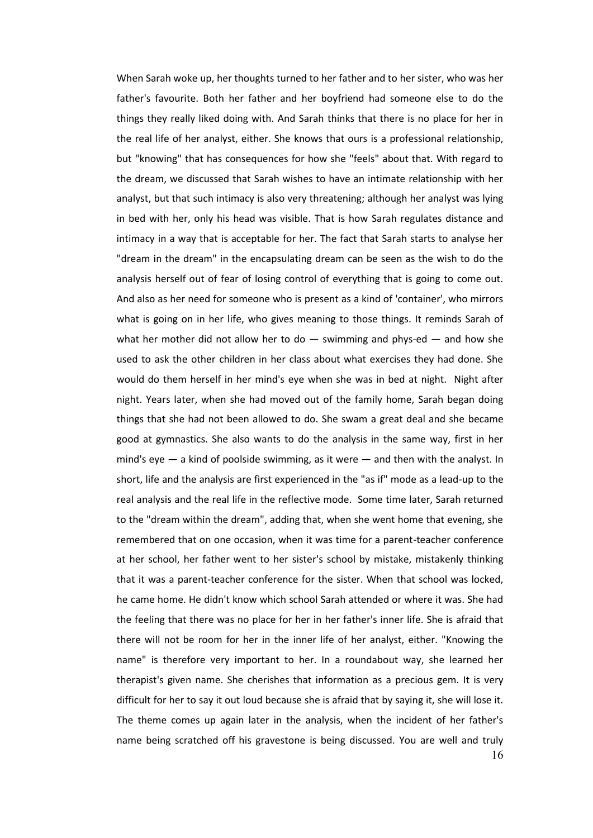16 When Sarah woke up, her thoughts turned to her father and to her sister, who was her father's favourite. Both her father and her boyfriend had someone else to do the things they really liked doing with. And Sarah thinks that there is no place for her in the real life of her analyst, either. She knows that ours is a professional relationship, but "knowing" that has consequences for how she "feels" about that. With regard to the dream, we discussed that Sarah wishes to have an intimate relationship with her analyst, but that such intimacy is also very threatening; although her analyst was lying in bed with her, only his head was visible. That is how Sarah regulates distance and intimacy in a way that is acceptable for her. The fact that Sarah starts to analyse her "dream in the dream" in the encapsulating dream can be seen as the wish to do the analysis herself out of fear of losing control of everything that is going to come out. And also as her need for someone who is present as a kind of 'container', who mirrors what is going on in her life, who gives meaning to those things. It reminds Sarah of what her mother did not allow her to do  $-$  swimming and phys-ed  $-$  and how she used to ask the other children in her class about what exercises they had done. She would do them herself in her mind's eye when she was in bed at night. Night after night. Years later, when she had moved out of the family home, Sarah began doing things that she had not been allowed to do. She swam a great deal and she became good at gymnastics. She also wants to do the analysis in the same way, first in her mind's eye  $-$  a kind of poolside swimming, as it were  $-$  and then with the analyst. In short, life and the analysis are first experienced in the "as if" mode as a lead-up to the real analysis and the real life in the reflective mode. Some time later, Sarah returned to the "dream within the dream", adding that, when she went home that evening, she remembered that on one occasion, when it was time for a parent-teacher conference at her school, her father went to her sister's school by mistake, mistakenly thinking that it was a parent-teacher conference for the sister. When that school was locked, he came home. He didn't know which school Sarah attended or where it was. She had the feeling that there was no place for her in her father's inner life. She is afraid that there will not be room for her in the inner life of her analyst, either. "Knowing the name" is therefore very important to her. In a roundabout way, she learned her therapist's given name. She cherishes that information as a precious gem. It is very difficult for her to say it out loud because she is afraid that by saying it, she will lose it. The theme comes up again later in the analysis, when the incident of her father's name being scratched off his gravestone is being discussed. You are well and truly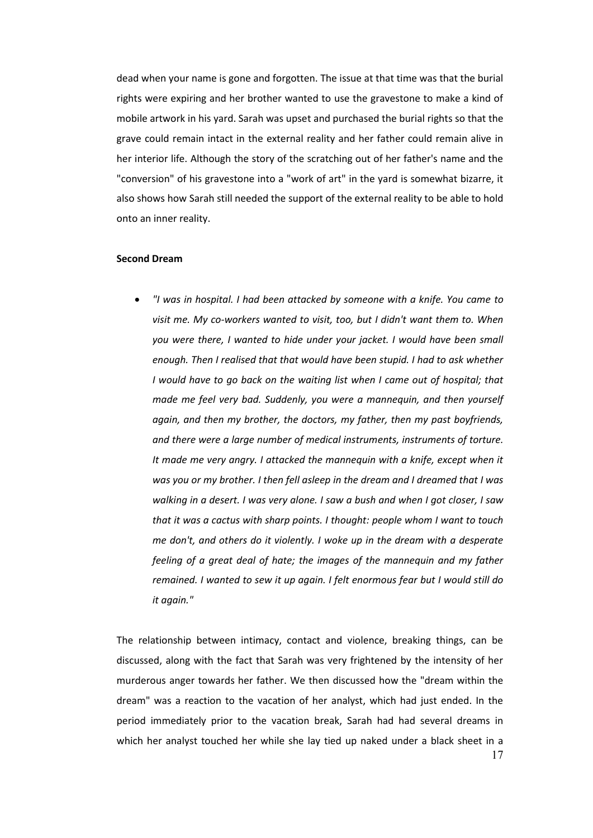dead when your name is gone and forgotten. The issue at that time was that the burial rights were expiring and her brother wanted to use the gravestone to make a kind of mobile artwork in his yard. Sarah was upset and purchased the burial rights so that the grave could remain intact in the external reality and her father could remain alive in her interior life. Although the story of the scratching out of her father's name and the "conversion" of his gravestone into a "work of art" in the yard is somewhat bizarre, it also shows how Sarah still needed the support of the external reality to be able to hold onto an inner reality.

#### **Second Dream**

 *"I was in hospital. I had been attacked by someone with a knife. You came to visit me. My co-workers wanted to visit, too, but I didn't want them to. When you were there, I wanted to hide under your jacket. I would have been small enough. Then I realised that that would have been stupid. I had to ask whether I* would have to go back on the waiting list when I came out of hospital; that *made me feel very bad. Suddenly, you were a mannequin, and then yourself again, and then my brother, the doctors, my father, then my past boyfriends, and there were a large number of medical instruments, instruments of torture. It made me very angry. I attacked the mannequin with a knife, except when it was you or my brother. I then fell asleep in the dream and I dreamed that I was walking in a desert. I was very alone. I saw a bush and when I got closer, I saw that it was a cactus with sharp points. I thought: people whom I want to touch me don't, and others do it violently. I woke up in the dream with a desperate feeling of a great deal of hate; the images of the mannequin and my father remained. I wanted to sew it up again. I felt enormous fear but I would still do it again."*

The relationship between intimacy, contact and violence, breaking things, can be discussed, along with the fact that Sarah was very frightened by the intensity of her murderous anger towards her father. We then discussed how the "dream within the dream" was a reaction to the vacation of her analyst, which had just ended. In the period immediately prior to the vacation break, Sarah had had several dreams in which her analyst touched her while she lay tied up naked under a black sheet in a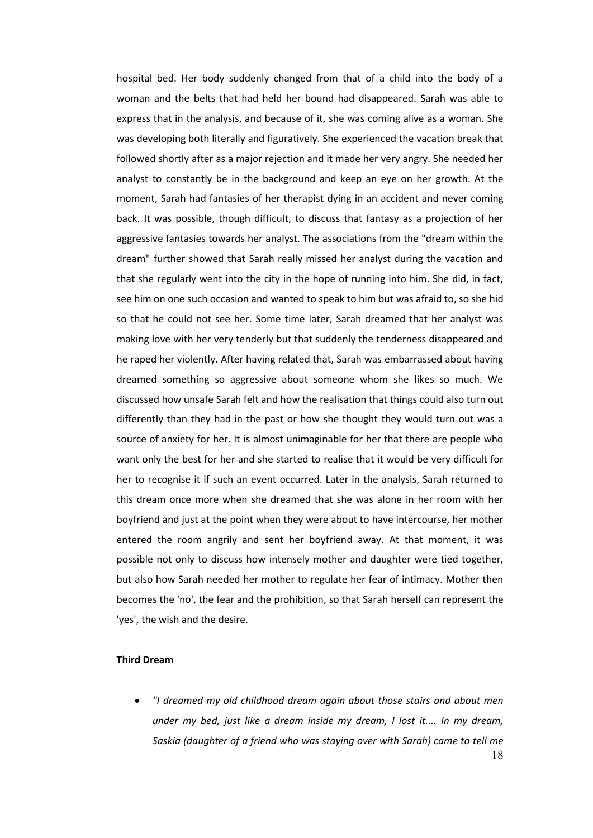hospital bed. Her body suddenly changed from that of a child into the body of a woman and the belts that had held her bound had disappeared. Sarah was able to express that in the analysis, and because of it, she was coming alive as a woman. She was developing both literally and figuratively. She experienced the vacation break that followed shortly after as a major rejection and it made her very angry. She needed her analyst to constantly be in the background and keep an eye on her growth. At the moment, Sarah had fantasies of her therapist dying in an accident and never coming back. It was possible, though difficult, to discuss that fantasy as a projection of her aggressive fantasies towards her analyst. The associations from the "dream within the dream" further showed that Sarah really missed her analyst during the vacation and that she regularly went into the city in the hope of running into him. She did, in fact, see him on one such occasion and wanted to speak to him but was afraid to, so she hid so that he could not see her. Some time later, Sarah dreamed that her analyst was making love with her very tenderly but that suddenly the tenderness disappeared and he raped her violently. After having related that, Sarah was embarrassed about having dreamed something so aggressive about someone whom she likes so much. We discussed how unsafe Sarah felt and how the realisation that things could also turn out differently than they had in the past or how she thought they would turn out was a source of anxiety for her. It is almost unimaginable for her that there are people who want only the best for her and she started to realise that it would be very difficult for her to recognise it if such an event occurred. Later in the analysis, Sarah returned to this dream once more when she dreamed that she was alone in her room with her boyfriend and just at the point when they were about to have intercourse, her mother entered the room angrily and sent her boyfriend away. At that moment, it was possible not only to discuss how intensely mother and daughter were tied together, but also how Sarah needed her mother to regulate her fear of intimacy. Mother then becomes the 'no', the fear and the prohibition, so that Sarah herself can represent the 'yes', the wish and the desire.

## **Third Dream**

 *"I dreamed my old childhood dream again about those stairs and about men under my bed, just like a dream inside my dream, I lost it.... In my dream, Saskia (daughter of a friend who was staying over with Sarah) came to tell me*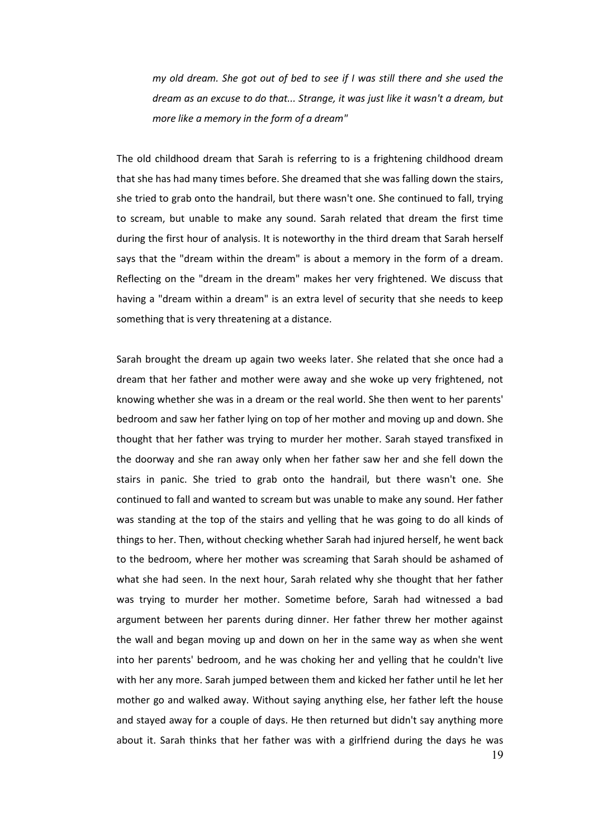*my old dream. She got out of bed to see if I was still there and she used the dream as an excuse to do that... Strange, it was just like it wasn't a dream, but more like a memory in the form of a dream"*

The old childhood dream that Sarah is referring to is a frightening childhood dream that she has had many times before. She dreamed that she was falling down the stairs, she tried to grab onto the handrail, but there wasn't one. She continued to fall, trying to scream, but unable to make any sound. Sarah related that dream the first time during the first hour of analysis. It is noteworthy in the third dream that Sarah herself says that the "dream within the dream" is about a memory in the form of a dream. Reflecting on the "dream in the dream" makes her very frightened. We discuss that having a "dream within a dream" is an extra level of security that she needs to keep something that is very threatening at a distance.

Sarah brought the dream up again two weeks later. She related that she once had a dream that her father and mother were away and she woke up very frightened, not knowing whether she was in a dream or the real world. She then went to her parents' bedroom and saw her father lying on top of her mother and moving up and down. She thought that her father was trying to murder her mother. Sarah stayed transfixed in the doorway and she ran away only when her father saw her and she fell down the stairs in panic. She tried to grab onto the handrail, but there wasn't one. She continued to fall and wanted to scream but was unable to make any sound. Her father was standing at the top of the stairs and yelling that he was going to do all kinds of things to her. Then, without checking whether Sarah had injured herself, he went back to the bedroom, where her mother was screaming that Sarah should be ashamed of what she had seen. In the next hour, Sarah related why she thought that her father was trying to murder her mother. Sometime before, Sarah had witnessed a bad argument between her parents during dinner. Her father threw her mother against the wall and began moving up and down on her in the same way as when she went into her parents' bedroom, and he was choking her and yelling that he couldn't live with her any more. Sarah jumped between them and kicked her father until he let her mother go and walked away. Without saying anything else, her father left the house and stayed away for a couple of days. He then returned but didn't say anything more about it. Sarah thinks that her father was with a girlfriend during the days he was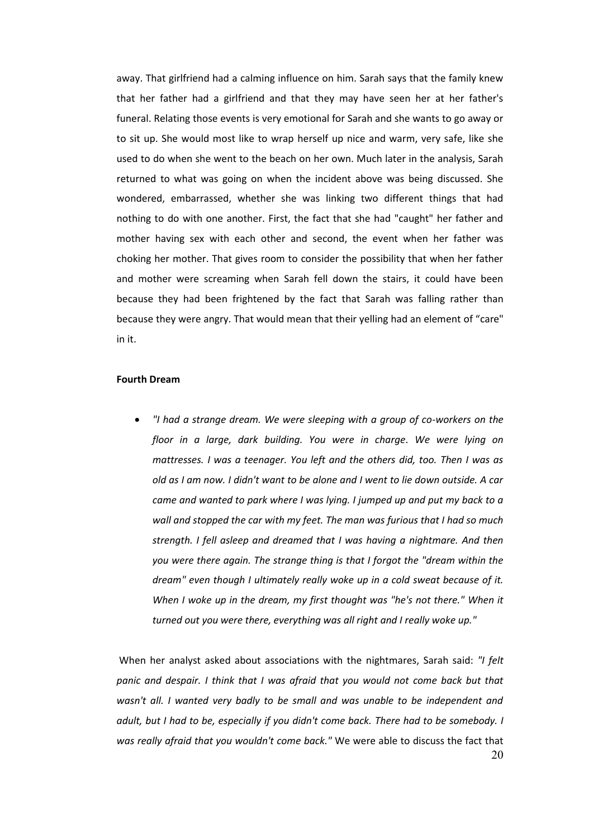away. That girlfriend had a calming influence on him. Sarah says that the family knew that her father had a girlfriend and that they may have seen her at her father's funeral. Relating those events is very emotional for Sarah and she wants to go away or to sit up. She would most like to wrap herself up nice and warm, very safe, like she used to do when she went to the beach on her own. Much later in the analysis, Sarah returned to what was going on when the incident above was being discussed. She wondered, embarrassed, whether she was linking two different things that had nothing to do with one another. First, the fact that she had "caught" her father and mother having sex with each other and second, the event when her father was choking her mother. That gives room to consider the possibility that when her father and mother were screaming when Sarah fell down the stairs, it could have been because they had been frightened by the fact that Sarah was falling rather than because they were angry. That would mean that their yelling had an element of "care" in it.

## **Fourth Dream**

 *"I had a strange dream. We were sleeping with a group of co-workers on the floor in a large, dark building. You were in charge. We were lying on mattresses. I was a teenager. You left and the others did, too. Then I was as old as I am now. I didn't want to be alone and I went to lie down outside. A car came and wanted to park where I was lying. I jumped up and put my back to a wall and stopped the car with my feet. The man was furious that I had so much strength. I fell asleep and dreamed that I was having a nightmare. And then you were there again. The strange thing is that I forgot the "dream within the dream" even though I ultimately really woke up in a cold sweat because of it. When I woke up in the dream, my first thought was "he's not there." When it turned out you were there, everything was all right and I really woke up."*

20 When her analyst asked about associations with the nightmares, Sarah said: *"I felt panic and despair. I think that I was afraid that you would not come back but that wasn't all. I wanted very badly to be small and was unable to be independent and adult, but I had to be, especially if you didn't come back. There had to be somebody. I was really afraid that you wouldn't come back."* We were able to discuss the fact that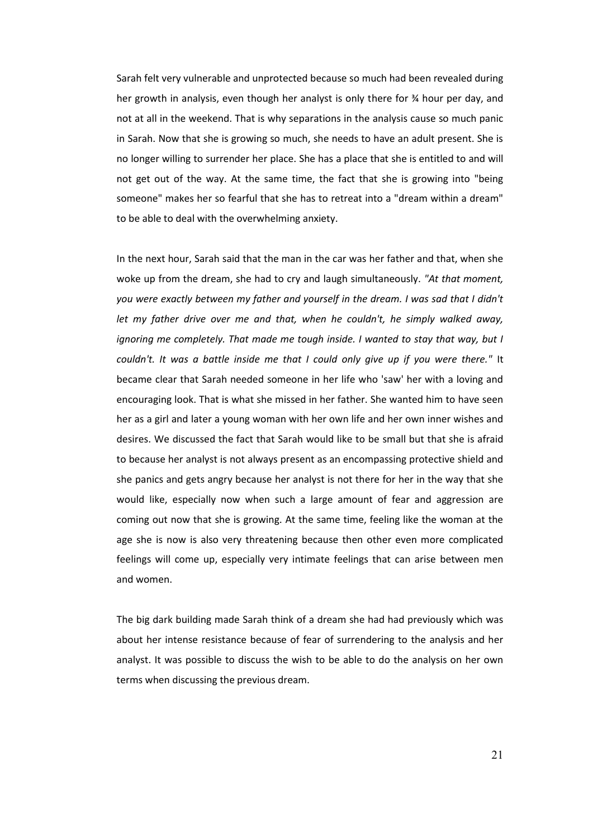Sarah felt very vulnerable and unprotected because so much had been revealed during her growth in analysis, even though her analyst is only there for ¾ hour per day, and not at all in the weekend. That is why separations in the analysis cause so much panic in Sarah. Now that she is growing so much, she needs to have an adult present. She is no longer willing to surrender her place. She has a place that she is entitled to and will not get out of the way. At the same time, the fact that she is growing into "being someone" makes her so fearful that she has to retreat into a "dream within a dream" to be able to deal with the overwhelming anxiety.

In the next hour, Sarah said that the man in the car was her father and that, when she woke up from the dream, she had to cry and laugh simultaneously. *"At that moment, you were exactly between my father and yourself in the dream. I was sad that I didn't let my father drive over me and that, when he couldn't, he simply walked away, ignoring me completely. That made me tough inside. I wanted to stay that way, but I couldn't. It was a battle inside me that I could only give up if you were there."* It became clear that Sarah needed someone in her life who 'saw' her with a loving and encouraging look. That is what she missed in her father. She wanted him to have seen her as a girl and later a young woman with her own life and her own inner wishes and desires. We discussed the fact that Sarah would like to be small but that she is afraid to because her analyst is not always present as an encompassing protective shield and she panics and gets angry because her analyst is not there for her in the way that she would like, especially now when such a large amount of fear and aggression are coming out now that she is growing. At the same time, feeling like the woman at the age she is now is also very threatening because then other even more complicated feelings will come up, especially very intimate feelings that can arise between men and women.

The big dark building made Sarah think of a dream she had had previously which was about her intense resistance because of fear of surrendering to the analysis and her analyst. It was possible to discuss the wish to be able to do the analysis on her own terms when discussing the previous dream.